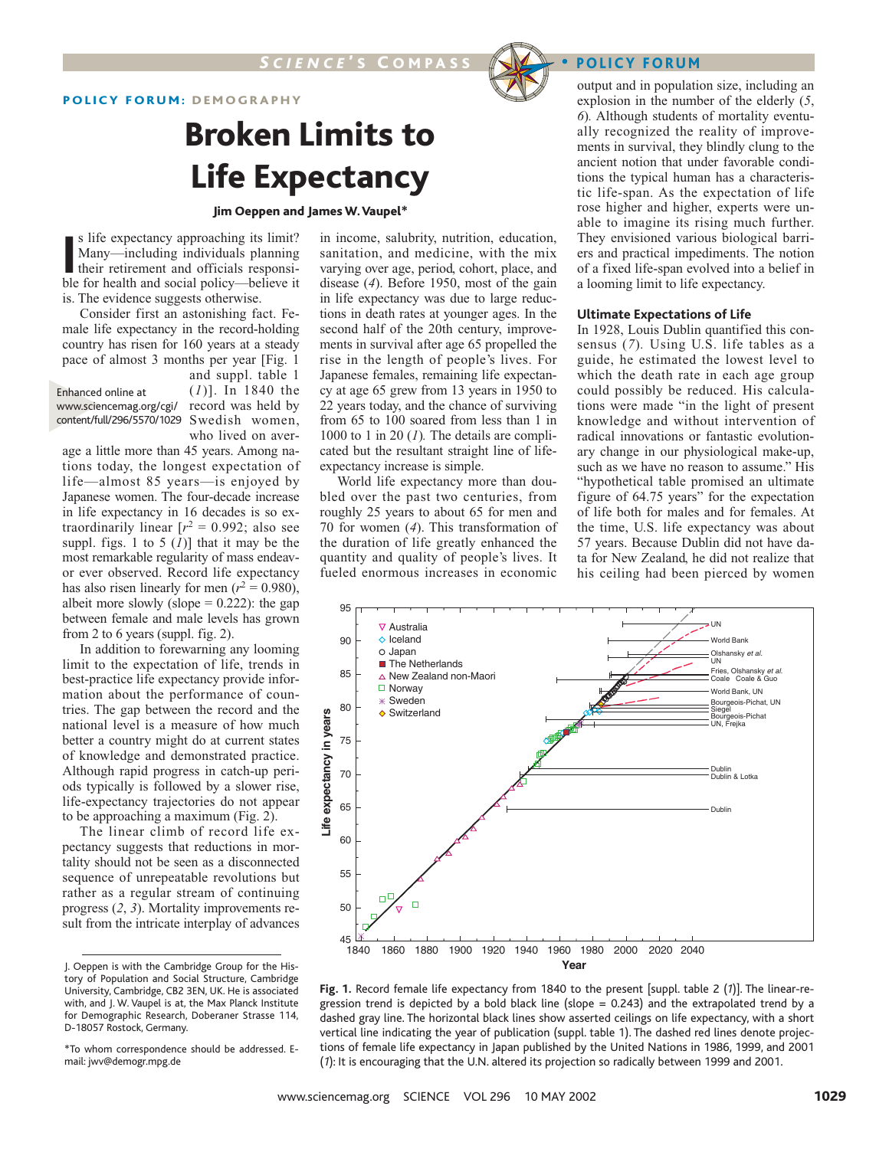## POLICY FORUM: DEMOGRAPHY

# Broken Limits to Life Expectancy

#### Jim Oeppen and James W.Vaupel\*

In S life expectancy approaching its limit?<br>
Many—including individuals planning<br>
their retirement and officials responsi-<br>
ble for health and social policy—believe it s life expectancy approaching its limit? Many—including individuals planning their retirement and officials responsiis. The evidence suggests otherwise.

Consider first an astonishing fact. Female life expectancy in the record-holding country has risen for 160 years at a steady pace of almost 3 months per year [Fig. 1 and suppl. table 1

(*1*)]. In 1840 the www.sciencemag.org/cgi/record was held by content/full/296/5570/1029 Swedish women, who lived on aver-Enhanced online at

age a little more than 45 years. Among nations today, the longest expectation of life—almost 85 years—is enjoyed by Japanese women. The four-decade increase in life expectancy in 16 decades is so extraordinarily linear  $[r^2 = 0.992;$  also see suppl. figs. 1 to 5  $(I)$ ] that it may be the most remarkable regularity of mass endeavor ever observed. Record life expectancy has also risen linearly for men  $(r^2 = 0.980)$ , albeit more slowly (slope  $= 0.222$ ): the gap between female and male levels has grown from 2 to 6 years (suppl. fig. 2).

In addition to forewarning any looming limit to the expectation of life, trends in best-practice life expectancy provide information about the performance of countries. The gap between the record and the national level is a measure of how much better a country might do at current states of knowledge and demonstrated practice. Although rapid progress in catch-up periods typically is followed by a slower rise, life-expectancy trajectories do not appear to be approaching a maximum (Fig. 2).

The linear climb of record life expectancy suggests that reductions in mortality should not be seen as a disconnected sequence of unrepeatable revolutions but rather as a regular stream of continuing progress (*2*, *3*). Mortality improvements result from the intricate interplay of advances in income, salubrity, nutrition, education, sanitation, and medicine, with the mix varying over age, period, cohort, place, and disease (*4*). Before 1950, most of the gain in life expectancy was due to large reductions in death rates at younger ages. In the second half of the 20th century, improvements in survival after age 65 propelled the rise in the length of people's lives. For Japanese females, remaining life expectancy at age 65 grew from 13 years in 1950 to 22 years today, and the chance of surviving from 65 to 100 soared from less than 1 in 1000 to 1 in 20 (*1*)*.* The details are complicated but the resultant straight line of lifeexpectancy increase is simple.

World life expectancy more than doubled over the past two centuries, from roughly 25 years to about 65 for men and 70 for women (*4*). This transformation of the duration of life greatly enhanced the quantity and quality of people's lives. It fueled enormous increases in economic

output and in population size, including an explosion in the number of the elderly (*5*, *6*)*.* Although students of mortality eventually recognized the reality of improvements in survival, they blindly clung to the ancient notion that under favorable conditions the typical human has a characteristic life-span. As the expectation of life rose higher and higher, experts were unable to imagine its rising much further. They envisioned various biological barriers and practical impediments. The notion of a fixed life-span evolved into a belief in a looming limit to life expectancy.

### **Ultimate Expectations of Life**

In 1928, Louis Dublin quantified this consensus (*7*)*.* Using U.S. life tables as a guide, he estimated the lowest level to which the death rate in each age group could possibly be reduced. His calculations were made "in the light of present knowledge and without intervention of radical innovations or fantastic evolutionary change in our physiological make-up, such as we have no reason to assume." His "hypothetical table promised an ultimate figure of 64.75 years" for the expectation of life both for males and for females. At the time, U.S. life expectancy was about 57 years. Because Dublin did not have data for New Zealand, he did not realize that his ceiling had been pierced by women



J. Oeppen is with the Cambridge Group for the History of Population and Social Structure, Cambridge

University, Cambridge, CB2 3EN, UK. He is associatedig. 1. Record female life expectancy from 1840 to the present [suppl. table)<sup>2</sup> T(he linear-rewith, and J. W. Vaupel is at, the Max Planck Institutegression trend is depicted by a bold black line (slope = 0.243) and the extrapolated trend by a for Demographic Research, Doberaner Strasse 114 ashed gray line. The horizontal black lines show asserted ceilings on life expectancy, with a short vertical line indicating the year of publication (suppl. table 1). The dashed red lines denote projec-D-18057 Rostock, Germany.

<sup>\*</sup>To whom correspondence should be addressed. Etions of female life expectancy in Japan published by the United Nations in 1986, 1999, and 2001 (1): It is encouraging that the U.N. altered its projection so radically between 1999 and 2001. mail: jwv@demogr.mpg.de